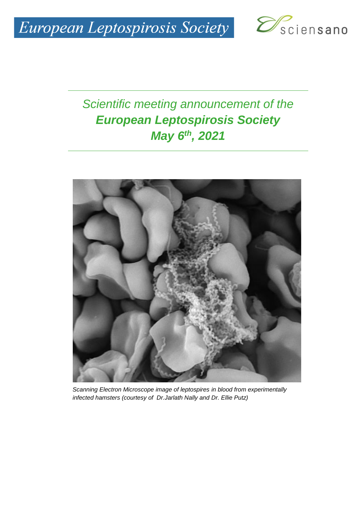

## *Scientific meeting announcement of the European Leptospirosis Society May 6th, 2021*



*Scanning Electron Microscope image of leptospires in blood from experimentally infected hamsters (courtesy of Dr.Jarlath Nally and Dr. Ellie Putz)*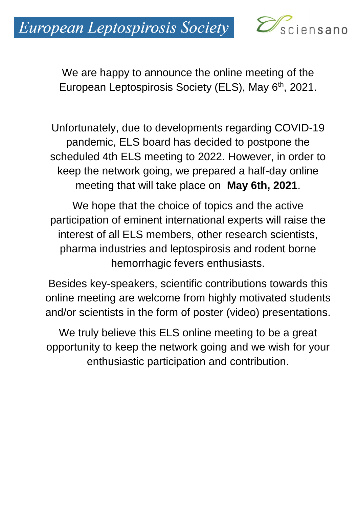

We are happy to announce the online meeting of the European Leptospirosis Society (ELS), May 6<sup>th</sup>, 2021.

Unfortunately, due to developments regarding COVID-19 pandemic, ELS board has decided to postpone the scheduled 4th ELS meeting to 2022. However, in order to keep the network going, we prepared a half-day online meeting that will take place on **May 6th, 2021**.

We hope that the choice of topics and the active participation of eminent international experts will raise the interest of all ELS members, other research scientists, pharma industries and leptospirosis and rodent borne hemorrhagic fevers enthusiasts.

Besides key-speakers, scientific contributions towards this online meeting are welcome from highly motivated students and/or scientists in the form of poster (video) presentations.

We truly believe this ELS online meeting to be a great opportunity to keep the network going and we wish for your enthusiastic participation and contribution.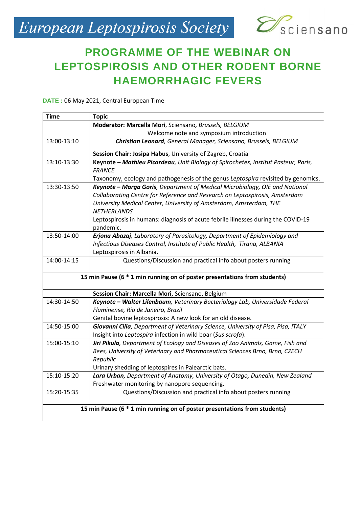# European Leptospirosis Society Desciensano



### **PROGRAMME OF THE WEBINAR ON LEPTOSPIROSIS AND OTHER RODENT BORNE HAEMORRHAGIC FEVERS**

**DATE :** 06 May 2021, Central European Time

| <b>Time</b>                                                               | <b>Topic</b>                                                                                                                                                                                                                      |  |
|---------------------------------------------------------------------------|-----------------------------------------------------------------------------------------------------------------------------------------------------------------------------------------------------------------------------------|--|
|                                                                           | Moderator: Marcella Mori, Sciensano, Brussels, BELGIUM                                                                                                                                                                            |  |
|                                                                           | Welcome note and symposium introduction                                                                                                                                                                                           |  |
| 13:00-13:10                                                               | Christian Leonard, General Manager, Sciensano, Brussels, BELGIUM                                                                                                                                                                  |  |
|                                                                           | Session Chair: Josipa Habus, University of Zagreb, Croatia                                                                                                                                                                        |  |
| 13:10-13:30                                                               | Keynote - Mathieu Picardeau, Unit Biology of Spirochetes, Institut Pasteur, Paris,<br><b>FRANCE</b>                                                                                                                               |  |
|                                                                           | Taxonomy, ecology and pathogenesis of the genus Leptospira revisited by genomics.                                                                                                                                                 |  |
| 13:30-13:50                                                               | Keynote - Marga Goris, Department of Medical Microbiology, OIE and National<br>Collaborating Centre for Reference and Research on Leptospirosis, Amsterdam<br>University Medical Center, University of Amsterdam, Amsterdam, THE  |  |
|                                                                           | <b>NETHERLANDS</b><br>Leptospirosis in humans: diagnosis of acute febrile illnesses during the COVID-19<br>pandemic.                                                                                                              |  |
| 13:50-14:00                                                               | Erjona Abazaj, Laboratory of Parasitology, Department of Epidemiology and<br>Infectious Diseases Control, Institute of Public Health, Tirana, ALBANIA<br>Leptospirosis in Albania.                                                |  |
| 14:00-14:15                                                               | Questions/Discussion and practical info about posters running                                                                                                                                                                     |  |
| 15 min Pause (6 * 1 min running on of poster presentations from students) |                                                                                                                                                                                                                                   |  |
|                                                                           | Session Chair: Marcella Mori, Sciensano, Belgium                                                                                                                                                                                  |  |
| 14:30-14:50                                                               | Keynote - Walter Lilenbaum, Veterinary Bacteriology Lab, Universidade Federal<br>Fluminense, Rio de Janeiro, Brazil                                                                                                               |  |
|                                                                           | Genital bovine leptospirosis: A new look for an old disease.                                                                                                                                                                      |  |
| 14:50-15:00                                                               | Giovanni Cilia, Department of Veterinary Science, University of Pisa, Pisa, ITALY<br>Insight into Leptospira infection in wild boar (Sus scrofa).                                                                                 |  |
| 15:00-15:10                                                               | Jiri Pikula, Department of Ecology and Diseases of Zoo Animals, Game, Fish and<br>Bees, University of Veterinary and Pharmaceutical Sciences Brno, Brno, CZECH<br>Republic<br>Urinary shedding of leptospires in Palearctic bats. |  |
| 15:10-15:20                                                               | Lara Urban, Department of Anatomy, University of Otago, Dunedin, New Zealand<br>Freshwater monitoring by nanopore sequencing.                                                                                                     |  |
| 15:20-15:35                                                               | Questions/Discussion and practical info about posters running                                                                                                                                                                     |  |
| 15 min Pause (6 * 1 min running on of poster presentations from students) |                                                                                                                                                                                                                                   |  |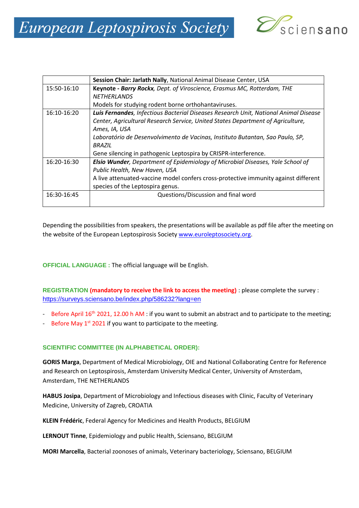

|             | Session Chair: Jarlath Nally, National Animal Disease Center, USA                      |
|-------------|----------------------------------------------------------------------------------------|
| 15:50-16:10 | Keynote - Barry Rockx, Dept. of Viroscience, Erasmus MC, Rotterdam, THE                |
|             | <b>NETHERLANDS</b>                                                                     |
|             | Models for studying rodent borne orthohantaviruses.                                    |
| 16:10-16:20 | Luis Fernandes, Infectious Bacterial Diseases Research Unit, National Animal Disease   |
|             | Center, Agricultural Research Service, United States Department of Agriculture,        |
|             | Ames, IA, USA                                                                          |
|             | Laboratório de Desenvolvimento de Vacinas, Instituto Butantan, Sao Paulo, SP,          |
|             | <b>BRAZIL</b>                                                                          |
|             | Gene silencing in pathogenic Leptospira by CRISPR-interference.                        |
| 16:20-16:30 | <b>Elsio Wunder</b> , Department of Epidemiology of Microbial Diseases, Yale School of |
|             | Public Health, New Haven, USA                                                          |
|             | A live attenuated-vaccine model confers cross-protective immunity against different    |
|             | species of the Leptospira genus.                                                       |
| 16:30-16:45 | Questions/Discussion and final word                                                    |
|             |                                                                                        |

Depending the possibilities from speakers, the presentations will be available as pdf file after the meeting on the website of the European Leptospirosis Society [www.euroleptosociety.org.](http://www.euroleptosociety.org/)

**OFFICIAL LANGUAGE :** The official language will be English.

**REGISTRATION (mandatory to receive the link to access the meeting)** : please complete the survey : <https://surveys.sciensano.be/index.php/586232?lang=en>

- Before April 16<sup>th</sup> 2021, 12.00 h AM : if you want to submit an abstract and to participate to the meeting;
- Before May  $1^{st}$  2021 if you want to participate to the meeting.

#### **SCIENTIFIC COMMITTEE (IN ALPHABETICAL ORDER):**

**GORIS Marga**, Department of Medical Microbiology, OIE and National Collaborating Centre for Reference and Research on Leptospirosis, Amsterdam University Medical Center, University of Amsterdam, Amsterdam, THE NETHERLANDS

**HABUS Josipa**, Department of Microbiology and Infectious diseases with Clinic, Faculty of Veterinary Medicine, University of Zagreb, CROATIA

**KLEIN Frédéric**, Federal Agency for Medicines and Health Products, BELGIUM

**LERNOUT Tinne**, Epidemiology and public Health, Sciensano, BELGIUM

**MORI Marcella**, Bacterial zoonoses of animals, Veterinary bacteriology, Sciensano, BELGIUM